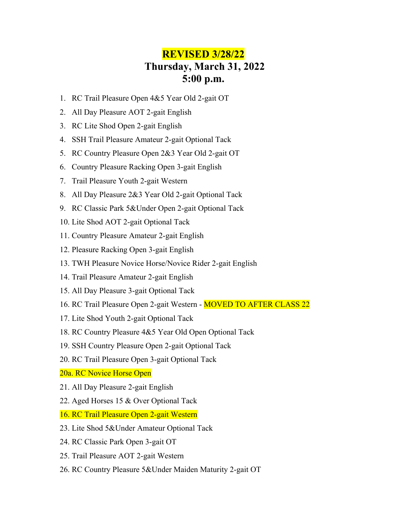# **REVISED 3/28/22 Thursday, March 31, 2022 5:00 p.m.**

- 1. RC Trail Pleasure Open 4&5 Year Old 2-gait OT
- 2. All Day Pleasure AOT 2-gait English
- 3. RC Lite Shod Open 2-gait English
- 4. SSH Trail Pleasure Amateur 2-gait Optional Tack
- 5. RC Country Pleasure Open 2&3 Year Old 2-gait OT
- 6. Country Pleasure Racking Open 3-gait English
- 7. Trail Pleasure Youth 2-gait Western
- 8. All Day Pleasure 2&3 Year Old 2-gait Optional Tack
- 9. RC Classic Park 5&Under Open 2-gait Optional Tack
- 10. Lite Shod AOT 2-gait Optional Tack
- 11. Country Pleasure Amateur 2-gait English
- 12. Pleasure Racking Open 3-gait English
- 13. TWH Pleasure Novice Horse/Novice Rider 2-gait English
- 14. Trail Pleasure Amateur 2-gait English
- 15. All Day Pleasure 3-gait Optional Tack
- 16. RC Trail Pleasure Open 2-gait Western **MOVED TO AFTER CLASS 22**
- 17. Lite Shod Youth 2-gait Optional Tack
- 18. RC Country Pleasure 4&5 Year Old Open Optional Tack
- 19. SSH Country Pleasure Open 2-gait Optional Tack
- 20. RC Trail Pleasure Open 3-gait Optional Tack
- 20a. RC Novice Horse Open
- 21. All Day Pleasure 2-gait English
- 22. Aged Horses 15 & Over Optional Tack
- 16. RC Trail Pleasure Open 2-gait Western
- 23. Lite Shod 5&Under Amateur Optional Tack
- 24. RC Classic Park Open 3-gait OT
- 25. Trail Pleasure AOT 2-gait Western
- 26. RC Country Pleasure 5&Under Maiden Maturity 2-gait OT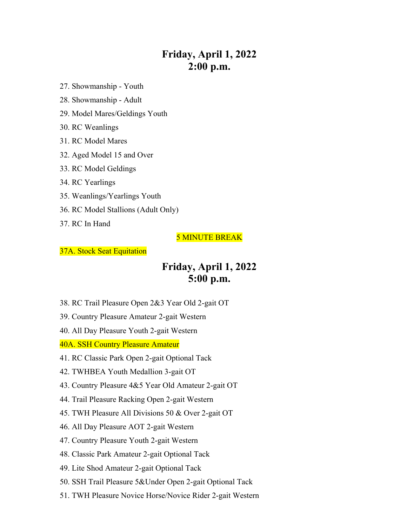# **Friday, April 1, 2022 2:00 p.m.**

- 27. Showmanship Youth
- 28. Showmanship Adult
- 29. Model Mares/Geldings Youth
- 30. RC Weanlings
- 31. RC Model Mares
- 32. Aged Model 15 and Over
- 33. RC Model Geldings
- 34. RC Yearlings
- 35. Weanlings/Yearlings Youth
- 36. RC Model Stallions (Adult Only)
- 37. RC In Hand

### 5 MINUTE BREAK

#### 37A. Stock Seat Equitation

### **Friday, April 1, 2022 5:00 p.m.**

- 38. RC Trail Pleasure Open 2&3 Year Old 2-gait OT
- 39. Country Pleasure Amateur 2-gait Western
- 40. All Day Pleasure Youth 2-gait Western

40A. SSH Country Pleasure Amateur

- 41. RC Classic Park Open 2-gait Optional Tack
- 42. TWHBEA Youth Medallion 3-gait OT
- 43. Country Pleasure 4&5 Year Old Amateur 2-gait OT
- 44. Trail Pleasure Racking Open 2-gait Western
- 45. TWH Pleasure All Divisions 50 & Over 2-gait OT
- 46. All Day Pleasure AOT 2-gait Western
- 47. Country Pleasure Youth 2-gait Western
- 48. Classic Park Amateur 2-gait Optional Tack
- 49. Lite Shod Amateur 2-gait Optional Tack
- 50. SSH Trail Pleasure 5&Under Open 2-gait Optional Tack
- 51. TWH Pleasure Novice Horse/Novice Rider 2-gait Western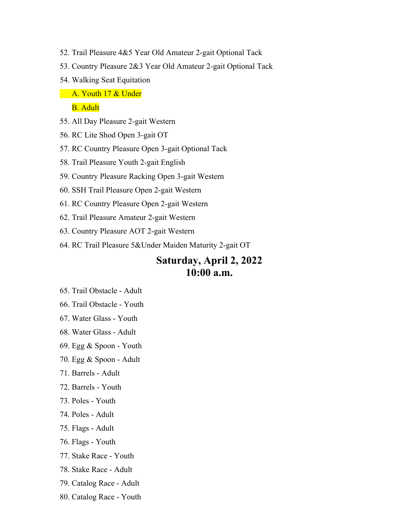- 52. Trail Pleasure 4&5 Year Old Amateur 2-gait Optional Tack
- 53. Country Pleasure 2&3 Year Old Amateur 2-gait Optional Tack
- 54. Walking Seat Equitation
- **A. Youth 17 & Under**

B. Adult

- 55. All Day Pleasure 2-gait Western
- 56. RC Lite Shod Open 3-gait OT
- 57. RC Country Pleasure Open 3-gait Optional Tack
- 58. Trail Pleasure Youth 2-gait English
- 59. Country Pleasure Racking Open 3-gait Western
- 60. SSH Trail Pleasure Open 2-gait Western
- 61. RC Country Pleasure Open 2-gait Western
- 62. Trail Pleasure Amateur 2-gait Western
- 63. Country Pleasure AOT 2-gait Western
- 64. RC Trail Pleasure 5&Under Maiden Maturity 2-gait OT

# **Saturday, April 2, 2022 10:00 a.m.**

- 65. Trail Obstacle Adult
- 66. Trail Obstacle Youth
- 67. Water Glass Youth
- 68. Water Glass Adult
- 69. Egg & Spoon Youth
- 70. Egg & Spoon Adult
- 71. Barrels Adult
- 72. Barrels Youth
- 73. Poles Youth
- 74. Poles Adult
- 75. Flags Adult
- 76. Flags Youth
- 77. Stake Race Youth
- 78. Stake Race Adult
- 79. Catalog Race Adult
- 80. Catalog Race Youth